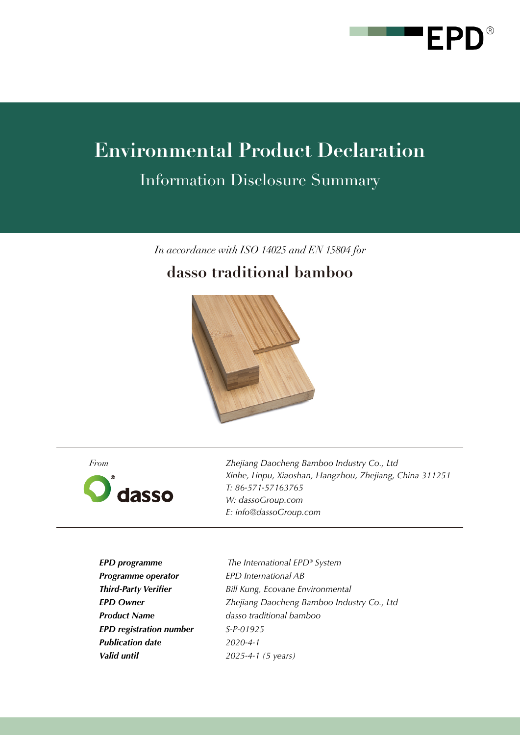

# **Environmental Product Declaration**

Information Disclosure Summary

*In accordance with ISO 14025 and EN 15804 for*

# **dasso traditional bamboo**



*From*



*Zhejiang Daocheng Bamboo Industry Co., Ltd Xinhe, Linpu, Xiaoshan, Hangzhou, Zhejiang, China 311251 T: 86-571-57163765 W: dassoGroup.com E: info@dassoGroup.com*

*EPD programme Programme operator Third-Party Verifier EPD Owner Product Name EPD registration number Publication date Valid until*

 *The International EPD® System EPD International AB Bill Kung, Ecovane Environmental Zhejiang Daocheng Bamboo Industry Co., Ltd dasso traditional bamboo S-P-01925 2020-4-1 2025-4-1 (5 years)*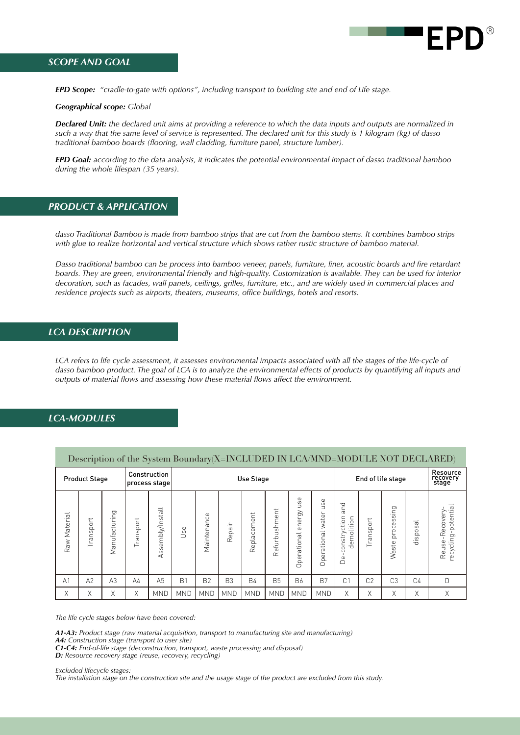

## *SCOPE AND GOAL*

*EPD Scope: "cradle-to-gate with options", including transport to building site and end of Life stage.* 

*Geographical scope: Global*

*Declared Unit: the declared unit aims at providing a reference to which the data inputs and outputs are normalized in such a way that the same level of service is represented. The declared unit for this study is 1 kilogram (kg) of dasso traditional bamboo boards (flooring, wall cladding, furniture panel, structure lumber).* 

*EPD Goal: according to the data analysis, it indicates the potential environmental impact of dasso traditional bamboo during the whole lifespan (35 years).*

## *PRODUCT & APPLICATION*

*dasso Traditional Bamboo is made from bamboo strips that are cut from the bamboo stems. It combines bamboo strips with glue to realize horizontal and vertical structure which shows rather rustic structure of bamboo material.*

*Dasso traditional bamboo can be process into bamboo veneer, panels, furniture, liner, acoustic boards and fire retardant boards. They are green, environmental friendly and high-quality. Customization is available. They can be used for interior decoration, such as facades, wall panels, ceilings, grilles, furniture, etc., and are widely used in commercial places and residence projects such as airports, theaters, museums, office buildings, hotels and resorts.*

#### *LCA DESCRIPTION*

*LCA refers to life cycle assessment, it assesses environmental impacts associated with all the stages of the life-cycle of* dasso bamboo product. The goal of LCA is to analyze the environmental effects of products by quantifying all inputs and *outputs of material flows and assessing how these material flows affect the environment.*

# *LCA-MODULES*

| Description of the System Boundary(X=INCLUDED IN LCA/MND=MODULE NOT DECLARED) |           |                |                               |                                  |                  |                |                       |             |               |                                       |                                                 |                                               |                   |                         |                               |                                       |
|-------------------------------------------------------------------------------|-----------|----------------|-------------------------------|----------------------------------|------------------|----------------|-----------------------|-------------|---------------|---------------------------------------|-------------------------------------------------|-----------------------------------------------|-------------------|-------------------------|-------------------------------|---------------------------------------|
| <b>Product Stage</b>                                                          |           |                | Construction<br>process stage |                                  | <b>Use Stage</b> |                |                       |             |               |                                       | End of life stage                               |                                               |                   |                         | Resource<br>recovery<br>stage |                                       |
| Raw Material                                                                  | Transport | Manufacturing  | sport<br>ä<br>$\sqrt{2}$      | sembly/Install<br><u>in</u><br>∢ | Jse              | Maintenance    | 크.<br>$\sigma$<br>Rep | Replacement | Refurbushment | use<br>energy<br>ational<br>c<br>Oper | <b>use</b><br>water<br>perational<br>$\bigcirc$ | and<br>constryction<br>olition<br>ξ<br>ರ<br>Å | ↵<br>ōq<br>S<br>ä | ging<br>proces<br>Waste | disposal                      | recycling-potential<br>Reuse-Recovery |
| A <sub>1</sub>                                                                | A2        | A <sub>3</sub> | $\Delta 4$                    | A <sub>5</sub>                   | B <sub>1</sub>   | B <sub>2</sub> | B <sub>3</sub>        | <b>B4</b>   | <b>B5</b>     | <b>B6</b>                             | B <sub>7</sub>                                  | C <sub>1</sub>                                | C <sub>2</sub>    | C <sub>3</sub>          | C <sub>4</sub>                | D                                     |
| Χ                                                                             | Χ         | Χ              | Χ                             | <b>MND</b>                       | <b>MND</b>       | <b>MND</b>     | <b>MND</b>            | <b>MND</b>  | <b>MND</b>    | <b>MND</b>                            | <b>MND</b>                                      | Χ                                             | Χ                 | X                       | X                             | Χ                                     |

*The life cycle stages below have been covered:*

*A1-A3: Product stage (raw material acquisition, transport to manufacturing site and manufacturing)*

*A4: Construction stage (transport to user site) C1-C4: End-of-life stage (deconstruction, transport, waste processing and disposal)*

*D: Resource recovery stage (reuse, recovery, recycling)*

*Excluded lifecycle stages: The installation stage on the construction site and the usage stage of the product are excluded from this study.*